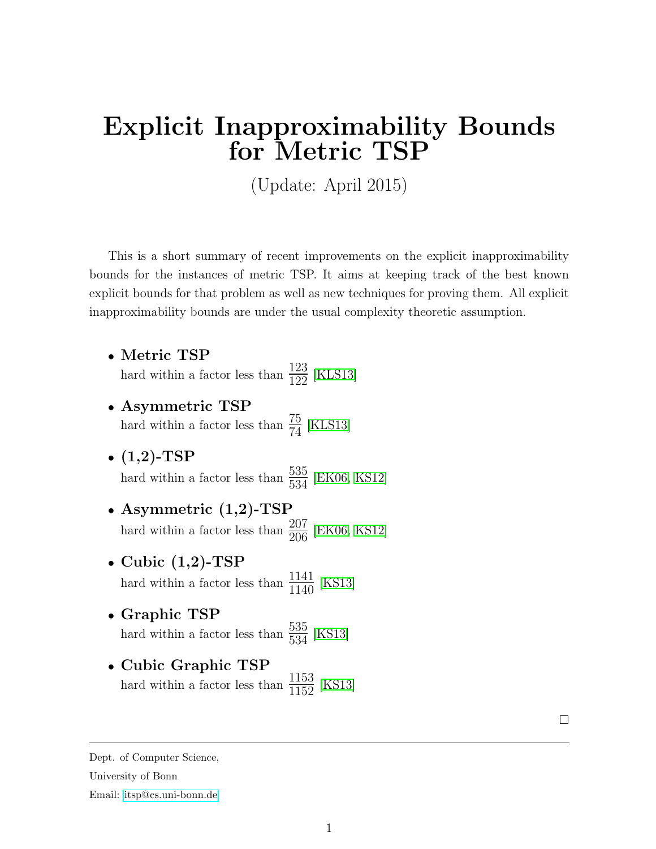## Explicit Inapproximability Bounds for Metric TSP

(Update: April 2015)

This is a short summary of recent improvements on the explicit inapproximability bounds for the instances of metric TSP. It aims at keeping track of the best known explicit bounds for that problem as well as new techniques for proving them. All explicit inapproximability bounds are under the usual complexity theoretic assumption.

• Metric TSP

hard within a factor less than  $\frac{123}{122}$  [\[KLS13\]](#page-1-0)

- Asymmetric TSP hard within a factor less than  $\frac{75}{74}$  [\[KLS13\]](#page-1-0)
- $(1,2)$ -TSP hard within a factor less than  $\frac{535}{534}$  [\[EK06,](#page-1-1) [KS12\]](#page-1-2)
- Asymmetric (1,2)-TSP hard within a factor less than  $\frac{207}{206}$  [\[EK06,](#page-1-1) [KS12\]](#page-1-2)
- Cubic  $(1,2)$ -TSP hard within a factor less than  $\frac{1141}{1140}$  [\[KS13\]](#page-1-3)
- Graphic TSP hard within a factor less than  $\frac{535}{534}$  [\[KS13\]](#page-1-3)
- Cubic Graphic TSP hard within a factor less than  $\frac{1153}{1152}$  [\[KS13\]](#page-1-3)

 $\Box$ 

University of Bonn

Dept. of Computer Science,

Email: [itsp@cs.uni-bonn.de](mailto:itsp@cs.uni-bonn.de)